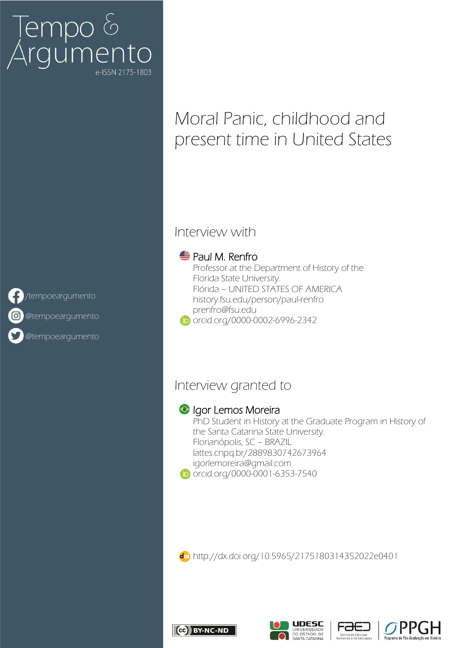# Tempo &<br>Argumento e-ISSN 2175-1803

# Moral Panic, childhood and present time in United States

### Interview with

#### **<sup>■</sup> Paul M. Renfro**

- Professor at the Department of History of the Florida State University. Flórida – UNITED STATES OF AMERICA [history.fsu.edu/person/paul-renfro](https://history.fsu.edu/person/paul-renfro) [prenfro@fsu.edu](mailto:prenfro@fsu.edu)
- **iD** [orcid.org/0000-0002-6996-2342](https://orcid.org/0000-0002-6996-2342)

## Interview granted to

#### **Igor Lemos Moreira**

PhD Student in History at the Graduate Program in History of the Santa Catarina State University. Florianópolis, SC – BRAZIL [lattes.cnpq.br/2889830742673964](http://lattes.cnpq.br/2889830742673964) [igorlemoreira@gmail.com](mailto:igorlemoreira@gmail.com)

[orcid.org/0000-0001-6353-7540](https://orcid.org/0000-0001-6353-7540)

<http://dx.doi.org/10.5965/2175180314352022e0401>









# $\epsilon$  [/tempoeargumento](https://www.facebook.com/Revista-Tempo-e-Argumento-385612254786165/)

<sup>o</sup> [@tempoeargumento](https://www.instagram.com/tempoeargumento)

[@tempoeargumento](https://twitter.com/tempoeargumento)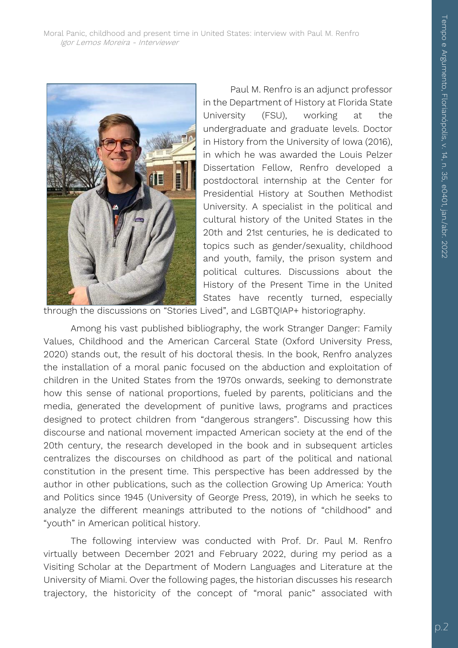

Paul M. Renfro is an adjunct professor in the Department of History at Florida State University (FSU), working at the undergraduate and graduate levels. Doctor in History from the University of Iowa (2016), in which he was awarded the Louis Pelzer Dissertation Fellow, Renfro developed a postdoctoral internship at the Center for Presidential History at Southen Methodist University. A specialist in the political and cultural history of the United States in the 20th and 21st centuries, he is dedicated to topics such as gender/sexuality, childhood and youth, family, the prison system and political cultures. Discussions about the History of the Present Time in the United States have recently turned, especially

through the discussions on "Stories Lived", and LGBTQIAP+ historiography.

Among his vast published bibliography, the work Stranger Danger: Family Values, Childhood and the American Carceral State (Oxford University Press, 2020) stands out, the result of his doctoral thesis. In the book, Renfro analyzes the installation of a moral panic focused on the abduction and exploitation of children in the United States from the 1970s onwards, seeking to demonstrate how this sense of national proportions, fueled by parents, politicians and the media, generated the development of punitive laws, programs and practices designed to protect children from "dangerous strangers". Discussing how this discourse and national movement impacted American society at the end of the 20th century, the research developed in the book and in subsequent articles centralizes the discourses on childhood as part of the political and national constitution in the present time. This perspective has been addressed by the author in other publications, such as the collection Growing Up America: Youth and Politics since 1945 (University of George Press, 2019), in which he seeks to analyze the different meanings attributed to the notions of "childhood" and "youth" in American political history.

The following interview was conducted with Prof. Dr. Paul M. Renfro virtually between December 2021 and February 2022, during my period as a Visiting Scholar at the Department of Modern Languages and Literature at the University of Miami. Over the following pages, the historian discusses his research trajectory, the historicity of the concept of "moral panic" associated with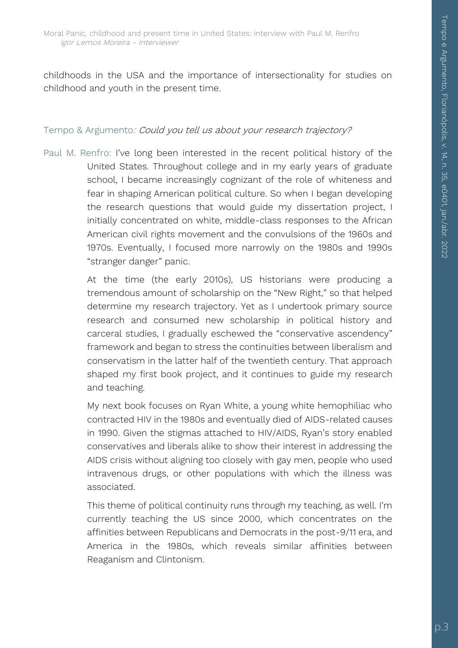childhoods in the USA and the importance of intersectionality for studies on childhood and youth in the present time.

#### Tempo & Argumento: Could you tell us about your research trajectory?

Paul M. Renfro: I've long been interested in the recent political history of the United States. Throughout college and in my early years of graduate school, I became increasingly cognizant of the role of whiteness and fear in shaping American political culture. So when I began developing the research questions that would guide my dissertation project, I initially concentrated on white, middle-class responses to the African American civil rights movement and the convulsions of the 1960s and 1970s. Eventually, I focused more narrowly on the 1980s and 1990s "stranger danger" panic.

> At the time (the early 2010s), US historians were producing a tremendous amount of scholarship on the "New Right," so that helped determine my research trajectory. Yet as I undertook primary source research and consumed new scholarship in political history and carceral studies, I gradually eschewed the "conservative ascendency" framework and began to stress the continuities between liberalism and conservatism in the latter half of the twentieth century. That approach shaped my first book project, and it continues to guide my research and teaching.

> My next book focuses on Ryan White, a young white hemophiliac who contracted HIV in the 1980s and eventually died of AIDS-related causes in 1990. Given the stigmas attached to HIV/AIDS, Ryan's story enabled conservatives and liberals alike to show their interest in addressing the AIDS crisis without aligning too closely with gay men, people who used intravenous drugs, or other populations with which the illness was associated.

> This theme of political continuity runs through my teaching, as well. I'm currently teaching the US since 2000, which concentrates on the affinities between Republicans and Democrats in the post-9/11 era, and America in the 1980s, which reveals similar affinities between Reaganism and Clintonism.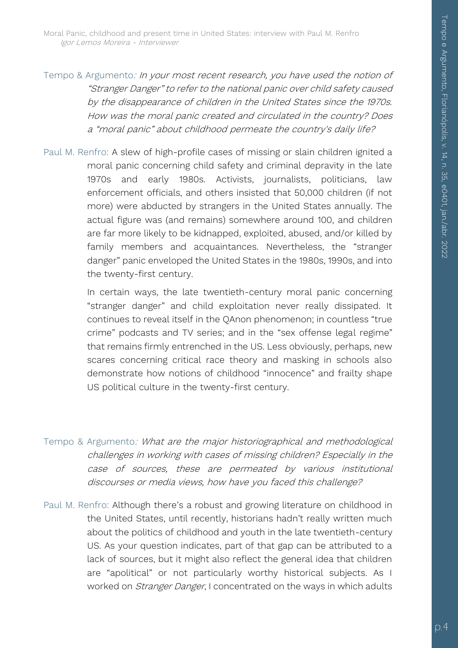Tempo & Argumento: In your most recent research, you have used the notion of "Stranger Danger" to refer to the national panic over child safety caused by the disappearance of children in the United States since the 1970s. How was the moral panic created and circulated in the country? Does <sup>a</sup>"moral panic" about childhood permeate the country's daily life?

Paul M. Renfro: A slew of high-profile cases of missing or slain children ignited a moral panic concerning child safety and criminal depravity in the late 1970s and early 1980s. Activists, journalists, politicians, law enforcement officials, and others insisted that 50,000 children (if not more) were abducted by strangers in the United States annually. The actual figure was (and remains) somewhere around 100, and children are far more likely to be kidnapped, exploited, abused, and/or killed by family members and acquaintances. Nevertheless, the "stranger danger" panic enveloped the United States in the 1980s, 1990s, and into the twenty-first century.

> In certain ways, the late twentieth-century moral panic concerning "stranger danger" and child exploitation never really dissipated. It continues to reveal itself in the QAnon phenomenon; in countless "true crime" podcasts and TV series; and in the "sex offense legal regime" that remains firmly entrenched in the US. Less obviously, perhaps, new scares concerning critical race theory and masking in schools also demonstrate how notions of childhood "innocence" and frailty shape US political culture in the twenty-first century.

- Tempo & Argumento: What are the major historiographical and methodological challenges in working with cases of missing children? Especially in the case of sources, these are permeated by various institutional discourses or media views, how have you faced this challenge?
- Paul M. Renfro: Although there's a robust and growing literature on childhood in the United States, until recently, historians hadn't really written much about the politics of childhood and youth in the late twentieth-century US. As your question indicates, part of that gap can be attributed to a lack of sources, but it might also reflect the general idea that children are "apolitical" or not particularly worthy historical subjects. As I worked on *Stranger Danger*, I concentrated on the ways in which adults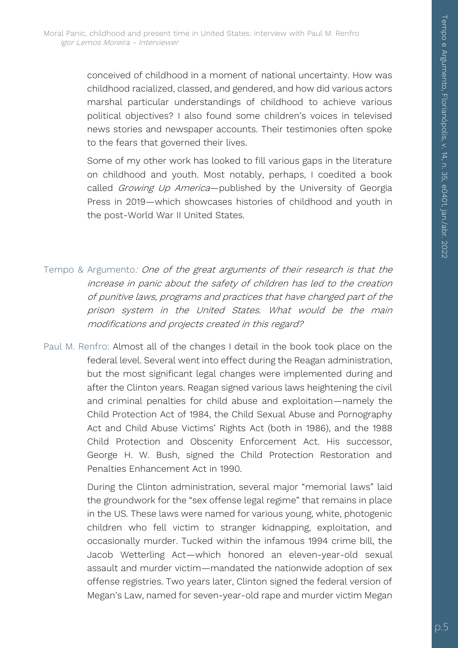conceived of childhood in a moment of national uncertainty. How was childhood racialized, classed, and gendered, and how did various actors marshal particular understandings of childhood to achieve various political objectives? I also found some children's voices in televised news stories and newspaper accounts. Their testimonies often spoke to the fears that governed their lives.

Some of my other work has looked to fill various gaps in the literature on childhood and youth. Most notably, perhaps, I coedited a book called Growing Up America-published by the University of Georgia Press in 2019—which showcases histories of childhood and youth in the post-World War II United States.

- Tempo & Argumento: One of the great arguments of their research is that the increase in panic about the safety of children has led to the creation of punitive laws, programs and practices that have changed part of the prison system in the United States. What would be the main modifications and projects created in this regard?
- Paul M. Renfro: Almost all of the changes I detail in the book took place on the federal level. Several went into effect during the Reagan administration, but the most significant legal changes were implemented during and after the Clinton years. Reagan signed various laws heightening the civil and criminal penalties for child abuse and exploitation—namely the Child Protection Act of 1984, the Child Sexual Abuse and Pornography Act and Child Abuse Victims' Rights Act (both in 1986), and the 1988 Child Protection and Obscenity Enforcement Act. His successor, George H. W. Bush, signed the Child Protection Restoration and Penalties Enhancement Act in 1990.

During the Clinton administration, several major "memorial laws" laid the groundwork for the "sex offense legal regime" that remains in place in the US. These laws were named for various young, white, photogenic children who fell victim to stranger kidnapping, exploitation, and occasionally murder. Tucked within the infamous 1994 crime bill, the Jacob Wetterling Act—which honored an eleven-year-old sexual assault and murder victim—mandated the nationwide adoption of sex offense registries. Two years later, Clinton signed the federal version of Megan's Law, named for seven-year-old rape and murder victim Megan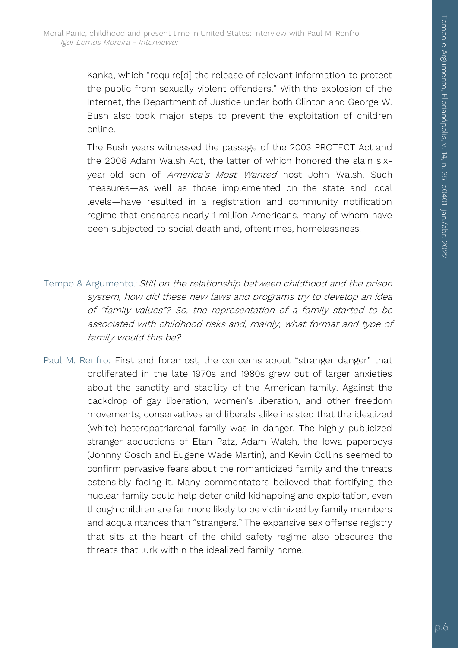Kanka, which "require[d] the release of relevant information to protect the public from sexually violent offenders." With the explosion of the Internet, the Department of Justice under both Clinton and George W. Bush also took major steps to prevent the exploitation of children online.

The Bush years witnessed the passage of the 2003 PROTECT Act and the 2006 Adam Walsh Act, the latter of which honored the slain sixyear-old son of America's Most Wanted host John Walsh. Such measures—as well as those implemented on the state and local levels—have resulted in a registration and community notification regime that ensnares nearly 1 million Americans, many of whom have been subjected to social death and, oftentimes, homelessness.

- Tempo & Argumento: Still on the relationship between childhood and the prison system, how did these new laws and programs try to develop an idea of "family values"? So, the representation of a family started to be associated with childhood risks and, mainly, what format and type of family would this be?
- Paul M. Renfro: First and foremost, the concerns about "stranger danger" that proliferated in the late 1970s and 1980s grew out of larger anxieties about the sanctity and stability of the American family. Against the backdrop of gay liberation, women's liberation, and other freedom movements, conservatives and liberals alike insisted that the idealized (white) heteropatriarchal family was in danger. The highly publicized stranger abductions of Etan Patz, Adam Walsh, the Iowa paperboys (Johnny Gosch and Eugene Wade Martin), and Kevin Collins seemed to confirm pervasive fears about the romanticized family and the threats ostensibly facing it. Many commentators believed that fortifying the nuclear family could help deter child kidnapping and exploitation, even though children are far more likely to be victimized by family members and acquaintances than "strangers." The expansive sex offense registry that sits at the heart of the child safety regime also obscures the threats that lurk within the idealized family home.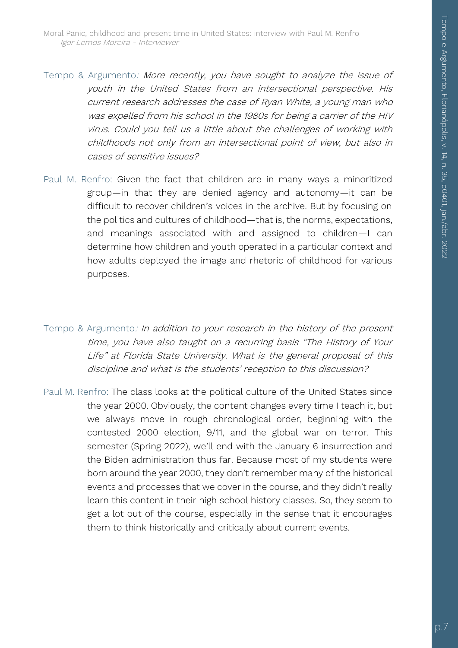- Tempo & Argumento: More recently, you have sought to analyze the issue of youth in the United States from an intersectional perspective. His current research addresses the case of Ryan White, a young man who was expelled from his school in the 1980s for being a carrier of the HIV virus. Could you tell us a little about the challenges of working with childhoods not only from an intersectional point of view, but also in cases of sensitive issues?
- Paul M. Renfro: Given the fact that children are in many ways a minoritized group—in that they are denied agency and autonomy—it can be difficult to recover children's voices in the archive. But by focusing on the politics and cultures of childhood—that is, the norms, expectations, and meanings associated with and assigned to children—I can determine how children and youth operated in a particular context and how adults deployed the image and rhetoric of childhood for various purposes.
- Tempo & Argumento: In addition to your research in the history of the present time, you have also taught on a recurring basis "The History of Your Life" at Florida State University. What is the general proposal of this discipline and what is the students' reception to this discussion?
- Paul M. Renfro: The class looks at the political culture of the United States since the year 2000. Obviously, the content changes every time I teach it, but we always move in rough chronological order, beginning with the contested 2000 election, 9/11, and the global war on terror. This semester (Spring 2022), we'll end with the January 6 insurrection and the Biden administration thus far. Because most of my students were born around the year 2000, they don't remember many of the historical events and processes that we cover in the course, and they didn't really learn this content in their high school history classes. So, they seem to get a lot out of the course, especially in the sense that it encourages them to think historically and critically about current events.